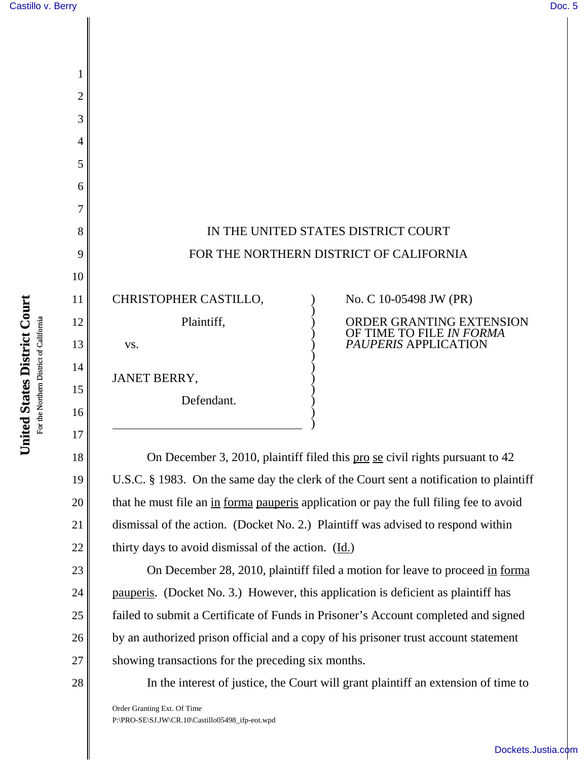1

2

3

4

5

6

7

8

9

10

11

12

13

14

15

16

17

l

18

19

20

21

22

23

24

25

26

|                                            | IN THE UNITED STATES DISTRICT COURT<br>FOR THE NORTHERN DISTRICT OF CALIFORNIA                         |
|--------------------------------------------|--------------------------------------------------------------------------------------------------------|
| CHRISTOPHER CASTILLO,<br>Plaintiff,<br>VS. | No. C 10-05498 JW (PR)<br>ORDER GRANTING EXTENSION<br>OF TIME TO FILE IN FORMA<br>PAUPERIS APPLICATION |
| JANET BERRY,<br>Defendant.                 |                                                                                                        |

On December 3, 2010, plaintiff filed this pro se civil rights pursuant to 42 U.S.C. § 1983. On the same day the clerk of the Court sent a notification to plaintiff that he must file an in forma pauperis application or pay the full filing fee to avoid dismissal of the action. (Docket No. 2.) Plaintiff was advised to respond within thirty days to avoid dismissal of the action.  $(\underline{Id.})$ 

)

On December 28, 2010, plaintiff filed a motion for leave to proceed in forma pauperis. (Docket No. 3.) However, this application is deficient as plaintiff has failed to submit a Certificate of Funds in Prisoner's Account completed and signed by an authorized prison official and a copy of his prisoner trust account statement showing transactions for the preceding six months.



27

In the interest of justice, the Court will grant plaintiff an extension of time to

Order Granting Ext. Of Time P:\PRO-SE\SJ.JW\CR.10\Castillo05498\_ifp-eot.wpd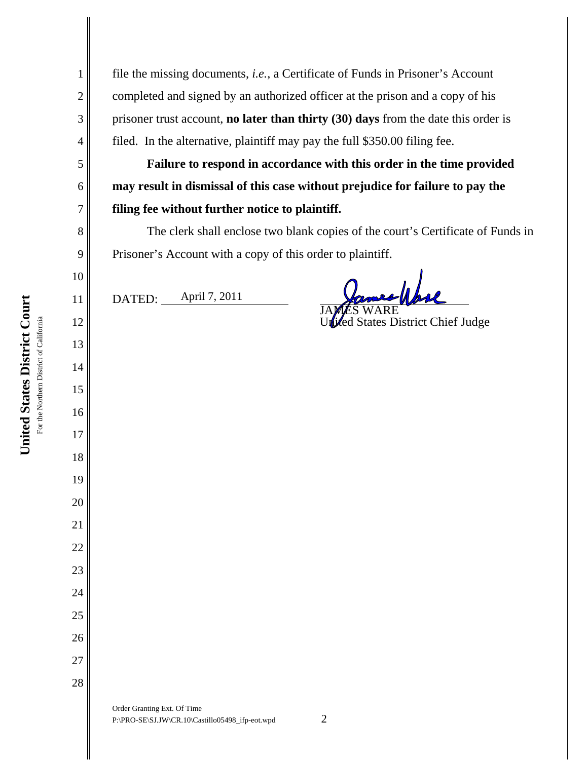file the missing documents, *i.e.*, a Certificate of Funds in Prisoner's Account completed and signed by an authorized officer at the prison and a copy of his prisoner trust account, **no later than thirty (30) days** from the date this order is filed. In the alternative, plaintiff may pay the full \$350.00 filing fee.

**Failure to respond in accordance with this order in the time provided may result in dismissal of this case without prejudice for failure to pay the filing fee without further notice to plaintiff.** 

The clerk shall enclose two blank copies of the court's Certificate of Funds in Prisoner's Account with a copy of this order to plaintiff.

DATED: April 7, 2011

mes/hore JA**MES** WARE

United States District Chief Judge